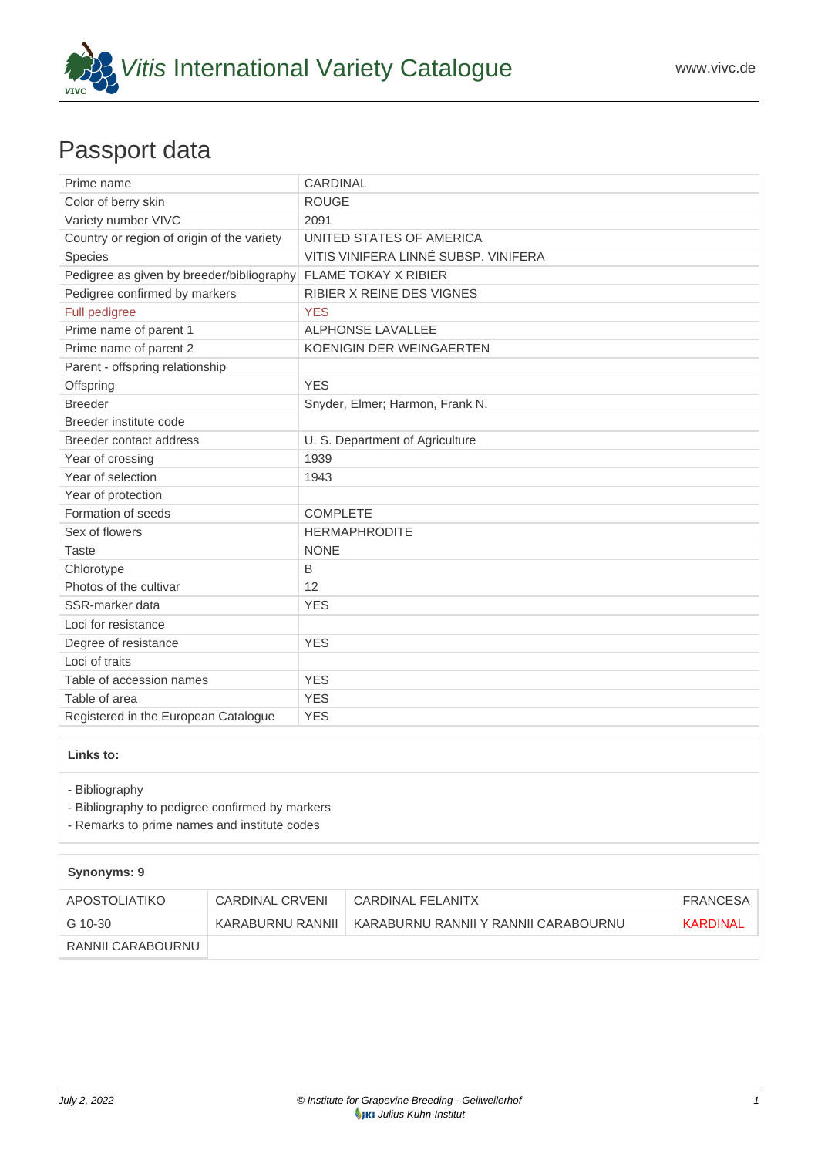

## Passport data

| Prime name                                                     | <b>CARDINAL</b>                      |
|----------------------------------------------------------------|--------------------------------------|
| Color of berry skin                                            | <b>ROUGE</b>                         |
| Variety number VIVC                                            | 2091                                 |
| Country or region of origin of the variety                     | UNITED STATES OF AMERICA             |
| Species                                                        | VITIS VINIFERA LINNÉ SUBSP. VINIFERA |
| Pedigree as given by breeder/bibliography FLAME TOKAY X RIBIER |                                      |
| Pedigree confirmed by markers                                  | <b>RIBIER X REINE DES VIGNES</b>     |
| Full pedigree                                                  | <b>YES</b>                           |
| Prime name of parent 1                                         | <b>ALPHONSE LAVALLEE</b>             |
| Prime name of parent 2                                         | KOENIGIN DER WEINGAERTEN             |
| Parent - offspring relationship                                |                                      |
| Offspring                                                      | <b>YES</b>                           |
| <b>Breeder</b>                                                 | Snyder, Elmer; Harmon, Frank N.      |
| Breeder institute code                                         |                                      |
| Breeder contact address                                        | U. S. Department of Agriculture      |
| Year of crossing                                               | 1939                                 |
| Year of selection                                              | 1943                                 |
| Year of protection                                             |                                      |
| Formation of seeds                                             | <b>COMPLETE</b>                      |
| Sex of flowers                                                 | <b>HERMAPHRODITE</b>                 |
| Taste                                                          | <b>NONE</b>                          |
| Chlorotype                                                     | B                                    |
| Photos of the cultivar                                         | 12                                   |
| SSR-marker data                                                | <b>YES</b>                           |
| Loci for resistance                                            |                                      |
| Degree of resistance                                           | <b>YES</b>                           |
| Loci of traits                                                 |                                      |
| Table of accession names                                       | <b>YES</b>                           |
| Table of area                                                  | <b>YES</b>                           |
| Registered in the European Catalogue                           | <b>YES</b>                           |

## **Links to:**

- [Bibliography](https://www.vivc.de/index.php?r=literaturverweise%2Fbibliography&LiteraturverweiseSearch[kenn_nr2]=2091&LiteraturverweiseSearch[leitname2]=CARDINAL)

- [Bibliography to pedigree confirmed by markers](https://www.vivc.de/index.php?var=2091&r=eva-analysis-mikrosatelliten-abstammungen%2Findex)

- [Remarks to prime names and institute codes](#page--1-0)

## **Synonyms: 9**

| APOSTOLIATIKO     | CARDINAL CRVENI | CARDINAL FELANITX                                       | FRANCESA |
|-------------------|-----------------|---------------------------------------------------------|----------|
| G 10-30           |                 | KARABURNU RANNII   KARABURNU RANNII Y RANNII CARABOURNU | KARDINAL |
| RANNII CARABOURNU |                 |                                                         |          |